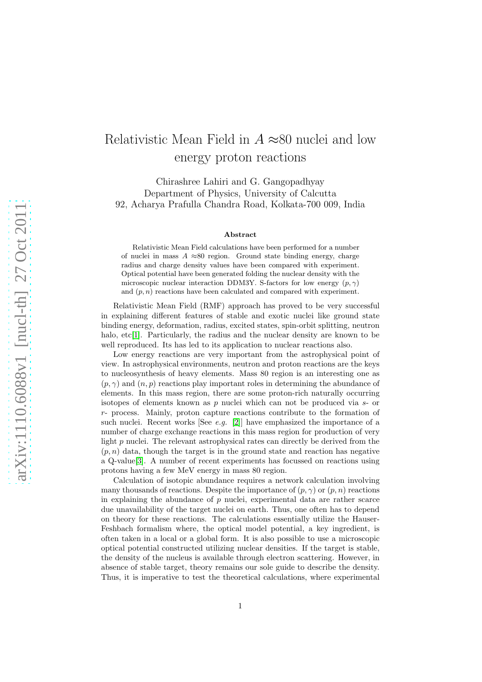## Relativistic Mean Field in  $A \approx 80$  nuclei and low energy proton reactions

Chirashree Lahiri and G. Gangopadhyay Department of Physics, University of Calcutta 92, Acharya Prafulla Chandra Road, Kolkata-700 009, India

## Abstract

Relativistic Mean Field calculations have been performed for a number of nuclei in mass  $A \approx 80$  region. Ground state binding energy, charge radius and charge density values have been compared with experiment. Optical potential have been generated folding the nuclear density with the microscopic nuclear interaction DDM3Y. S-factors for low energy  $(p, \gamma)$ and  $(p, n)$  reactions have been calculated and compared with experiment.

Relativistic Mean Field (RMF) approach has proved to be very successful in explaining different features of stable and exotic nuclei like ground state binding energy, deformation, radius, excited states, spin-orbit splitting, neutron halo,  $etc[1]$  $etc[1]$ . Particularly, the radius and the nuclear density are known to be well reproduced. Its has led to its application to nuclear reactions also.

Low energy reactions are very important from the astrophysical point of view. In astrophysical environments, neutron and proton reactions are the keys to nucleosynthesis of heavy elements. Mass 80 region is an interesting one as  $(p, \gamma)$  and  $(n, p)$  reactions play important roles in determining the abundance of elements. In this mass region, there are some proton-rich naturally occurring isotopes of elements known as p nuclei which can not be produced via s- or r- process. Mainly, proton capture reactions contribute to the formation of such nuclei. Recent works [See *e.g.* [\[2\]](#page-4-1)] have emphasized the importance of a number of charge exchange reactions in this mass region for production of very light p nuclei. The relevant astrophysical rates can directly be derived from the  $(p, n)$  data, though the target is in the ground state and reaction has negative a Q-value[\[3\]](#page-5-0). A number of recent experiments has focussed on reactions using protons having a few MeV energy in mass 80 region.

Calculation of isotopic abundance requires a network calculation involving many thousands of reactions. Despite the importance of  $(p, \gamma)$  or  $(p, n)$  reactions in explaining the abundance of  $p$  nuclei, experimental data are rather scarce due unavailability of the target nuclei on earth. Thus, one often has to depend on theory for these reactions. The calculations essentially utilize the Hauser-Feshbach formalism where, the optical model potential, a key ingredient, is often taken in a local or a global form. It is also possible to use a microscopic optical potential constructed utilizing nuclear densities. If the target is stable, the density of the nucleus is available through electron scattering. However, in absence of stable target, theory remains our sole guide to describe the density. Thus, it is imperative to test the theoretical calculations, where experimental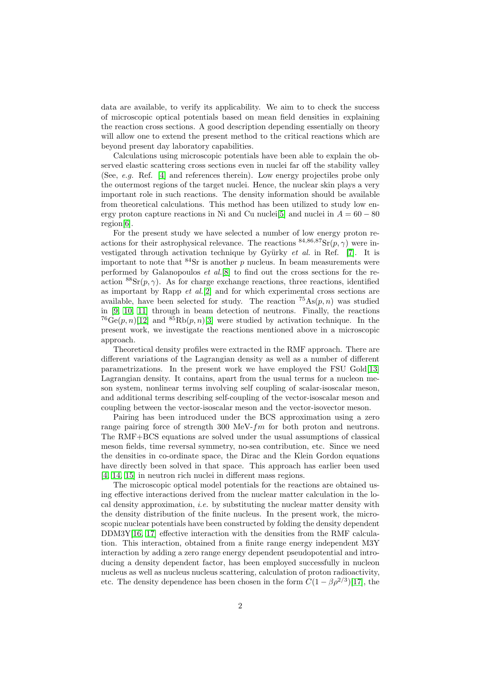data are available, to verify its applicability. We aim to to check the success of microscopic optical potentials based on mean field densities in explaining the reaction cross sections. A good description depending essentially on theory will allow one to extend the present method to the critical reactions which are beyond present day laboratory capabilities.

Calculations using microscopic potentials have been able to explain the observed elastic scattering cross sections even in nuclei far off the stability valley (See, e.g. Ref. [\[4\]](#page-5-1) and references therein). Low energy projectiles probe only the outermost regions of the target nuclei. Hence, the nuclear skin plays a very important role in such reactions. The density information should be available from theoretical calculations. This method has been utilized to study low en-ergy proton capture reactions in Ni and Cu nuclei<sup>[\[5\]](#page-5-2)</sup> and nuclei in  $A = 60 - 80$ region[\[6\]](#page-5-3).

For the present study we have selected a number of low energy proton reactions for their astrophysical relevance. The reactions  $84,86,87$ Sr $(p, \gamma)$  were investigated through activation technique by Gyürky  $et \ al.$  in Ref. [\[7\]](#page-5-4). It is important to note that  $84$ Sr is another p nucleus. In beam measurements were performed by Galanopoulos et al.[\[8\]](#page-5-5) to find out the cross sections for the reaction  ${}^{88}Sr(p, \gamma)$ . As for charge exchange reactions, three reactions, identified as important by Rapp  $et \ al.[2]$  $et \ al.[2]$  and for which experimental cross sections are available, have been selected for study. The reaction  ${}^{75}\text{As}(p, n)$  was studied in [\[9,](#page-5-6) [10,](#page-5-7) [11\]](#page-5-8) through in beam detection of neutrons. Finally, the reactions  $^{76}Ge(p, n)[12]$  $^{76}Ge(p, n)[12]$  and  $^{85}Rb(p, n)[3]$  $^{85}Rb(p, n)[3]$  were studied by activation technique. In the present work, we investigate the reactions mentioned above in a microscopic approach.

Theoretical density profiles were extracted in the RMF approach. There are different variations of the Lagrangian density as well as a number of different parametrizations. In the present work we have employed the FSU Gold[\[13\]](#page-5-10) Lagrangian density. It contains, apart from the usual terms for a nucleon meson system, nonlinear terms involving self coupling of scalar-isoscalar meson, and additional terms describing self-coupling of the vector-isoscalar meson and coupling between the vector-isoscalar meson and the vector-isovector meson.

Pairing has been introduced under the BCS approximation using a zero range pairing force of strength 300 MeV- $fm$  for both proton and neutrons. The RMF+BCS equations are solved under the usual assumptions of classical meson fields, time reversal symmetry, no-sea contribution, etc. Since we need the densities in co-ordinate space, the Dirac and the Klein Gordon equations have directly been solved in that space. This approach has earlier been used [\[4,](#page-5-1) [14,](#page-5-11) [15\]](#page-5-12) in neutron rich nuclei in different mass regions.

The microscopic optical model potentials for the reactions are obtained using effective interactions derived from the nuclear matter calculation in the local density approximation, *i.e.* by substituting the nuclear matter density with the density distribution of the finite nucleus. In the present work, the microscopic nuclear potentials have been constructed by folding the density dependent  $DDM3Y[16, 17]$  $DDM3Y[16, 17]$  $DDM3Y[16, 17]$  effective interaction with the densities from the RMF calculation. This interaction, obtained from a finite range energy independent M3Y interaction by adding a zero range energy dependent pseudopotential and introducing a density dependent factor, has been employed successfully in nucleon nucleus as well as nucleus nucleus scattering, calculation of proton radioactivity, etc. The density dependence has been chosen in the form  $C(1 - \beta \rho^{2/3})$ [\[17\]](#page-5-14), the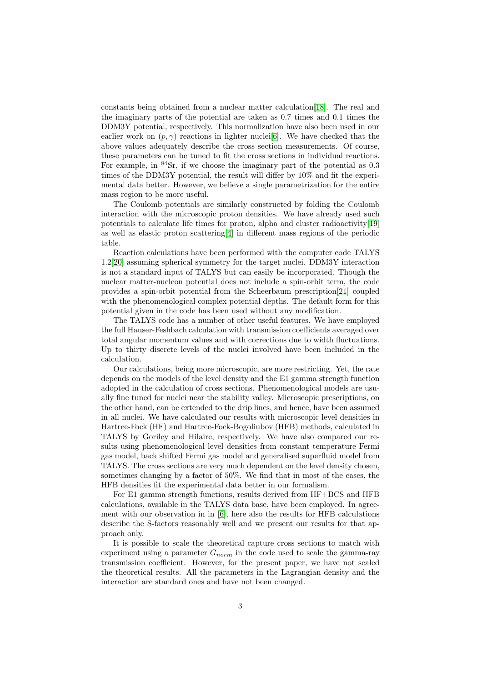constants being obtained from a nuclear matter calculation[\[18\]](#page-5-15). The real and the imaginary parts of the potential are taken as 0.7 times and 0.1 times the DDM3Y potential, respectively. This normalization have also been used in our earlier work on  $(p, \gamma)$  reactions in lighter nuclei<sup>[\[6\]](#page-5-3)</sup>. We have checked that the above values adequately describe the cross section measurements. Of course, these parameters can be tuned to fit the cross sections in individual reactions. For example, in  ${}^{84}Sr$ , if we choose the imaginary part of the potential as 0.3 times of the DDM3Y potential, the result will differ by 10% and fit the experimental data better. However, we believe a single parametrization for the entire mass region to be more useful.

The Coulomb potentials are similarly constructed by folding the Coulomb interaction with the microscopic proton densities. We have already used such potentials to calculate life times for proton, alpha and cluster radioactivity[\[19\]](#page-5-16) as well as elastic proton scattering[\[4\]](#page-5-1) in different mass regions of the periodic table.

Reaction calculations have been performed with the computer code TALYS 1.2[\[20\]](#page-5-17) assuming spherical symmetry for the target nuclei. DDM3Y interaction is not a standard input of TALYS but can easily be incorporated. Though the nuclear matter-nucleon potential does not include a spin-orbit term, the code provides a spin-orbit potential from the Scheerbaum prescription[\[21\]](#page-5-18) coupled with the phenomenological complex potential depths. The default form for this potential given in the code has been used without any modification.

The TALYS code has a number of other useful features. We have employed the full Hauser-Feshbach calculation with transmission coefficients averaged over total angular momentum values and with corrections due to width fluctuations. Up to thirty discrete levels of the nuclei involved have been included in the calculation.

Our calculations, being more microscopic, are more restricting. Yet, the rate depends on the models of the level density and the E1 gamma strength function adopted in the calculation of cross sections. Phenomenological models are usually fine tuned for nuclei near the stability valley. Microscopic prescriptions, on the other hand, can be extended to the drip lines, and hence, have been assumed in all nuclei. We have calculated our results with microscopic level densities in Hartree-Fock (HF) and Hartree-Fock-Bogoliubov (HFB) methods, calculated in TALYS by Goriley and Hilaire, respectively. We have also compared our results using phenomenological level densities from constant temperature Fermi gas model, back shifted Fermi gas model and generalised superfluid model from TALYS. The cross sections are very much dependent on the level density chosen, sometimes changing by a factor of 50%. We find that in most of the cases, the HFB densities fit the experimental data better in our formalism.

For E1 gamma strength functions, results derived from HF+BCS and HFB calculations, available in the TALYS data base, have been employed. In agreement with our observation in in [\[6\]](#page-5-3), here also the results for HFB calculations describe the S-factors reasonably well and we present our results for that approach only.

It is possible to scale the theoretical capture cross sections to match with experiment using a parameter  $G_{norm}$  in the code used to scale the gamma-ray transmission coefficient. However, for the present paper, we have not scaled the theoretical results. All the parameters in the Lagrangian density and the interaction are standard ones and have not been changed.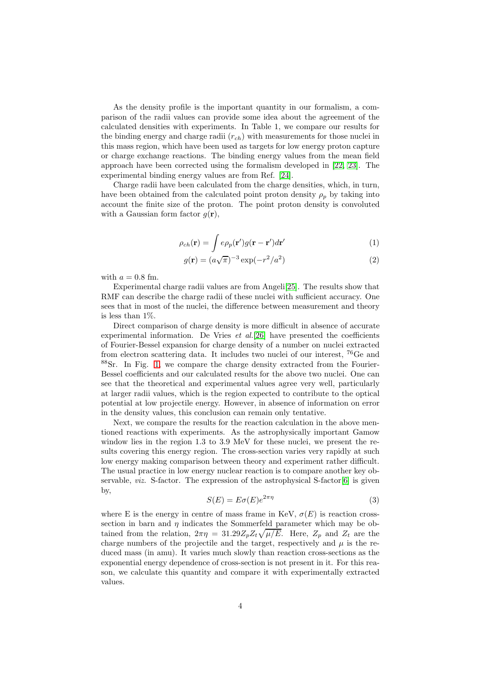As the density profile is the important quantity in our formalism, a comparison of the radii values can provide some idea about the agreement of the calculated densities with experiments. In Table 1, we compare our results for the binding energy and charge radii  $(r_{ch})$  with measurements for those nuclei in this mass region, which have been used as targets for low energy proton capture or charge exchange reactions. The binding energy values from the mean field approach have been corrected using the formalism developed in [\[22,](#page-5-19) [23\]](#page-5-20). The experimental binding energy values are from Ref. [\[24\]](#page-5-21).

Charge radii have been calculated from the charge densities, which, in turn, have been obtained from the calculated point proton density  $\rho_p$  by taking into account the finite size of the proton. The point proton density is convoluted with a Gaussian form factor  $g(\mathbf{r})$ ,

$$
\rho_{ch}(\mathbf{r}) = \int e\rho_p(\mathbf{r}')g(\mathbf{r} - \mathbf{r}')d\mathbf{r}'
$$
\n(1)

$$
g(\mathbf{r}) = (a\sqrt{\pi})^{-3} \exp(-r^2/a^2)
$$
\n<sup>(2)</sup>

with  $a = 0.8$  fm.

Experimental charge radii values are from Angeli[\[25\]](#page-5-22). The results show that RMF can describe the charge radii of these nuclei with sufficient accuracy. One sees that in most of the nuclei, the difference between measurement and theory is less than 1%.

Direct comparison of charge density is more difficult in absence of accurate experimental information. De Vries  $et \ al.[26]$  $et \ al.[26]$  have presented the coefficients of Fourier-Bessel expansion for charge density of a number on nuclei extracted from electron scattering data. It includes two nuclei of our interest, <sup>76</sup>Ge and <sup>88</sup>Sr. In Fig. [1,](#page-6-0) we compare the charge density extracted from the Fourier-Bessel coefficients and our calculated results for the above two nuclei. One can see that the theoretical and experimental values agree very well, particularly at larger radii values, which is the region expected to contribute to the optical potential at low projectile energy. However, in absence of information on error in the density values, this conclusion can remain only tentative.

Next, we compare the results for the reaction calculation in the above mentioned reactions with experiments. As the astrophysically important Gamow window lies in the region 1.3 to 3.9 MeV for these nuclei, we present the results covering this energy region. The cross-section varies very rapidly at such low energy making comparison between theory and experiment rather difficult. The usual practice in low energy nuclear reaction is to compare another key observable, *viz.* S-factor. The expression of the astrophysical S-factor  $[6]$  is given by,

$$
S(E) = E\sigma(E)e^{2\pi\eta} \tag{3}
$$

where E is the energy in centre of mass frame in KeV,  $\sigma(E)$  is reaction crosssection in barn and  $\eta$  indicates the Sommerfeld parameter which may be obtained from the relation,  $2\pi\eta = 31.29 Z_p Z_t \sqrt{\mu/E}$ . Here,  $Z_p$  and  $Z_t$  are the charge numbers of the projectile and the target, respectively and  $\mu$  is the reduced mass (in amu). It varies much slowly than reaction cross-sections as the exponential energy dependence of cross-section is not present in it. For this reason, we calculate this quantity and compare it with experimentally extracted values.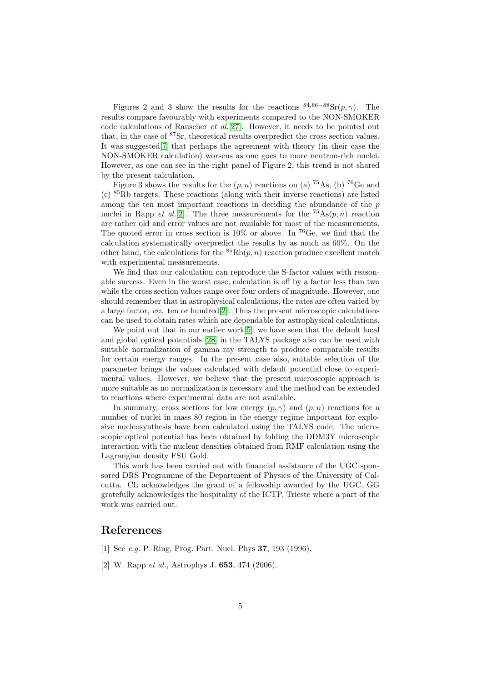Figures 2 and 3 show the results for the reactions  $84,86-88$ Sr $(p, \gamma)$ . The results compare favourably with experiments compared to the NON-SMOKER code calculations of Rauscher et al.[\[27\]](#page-5-24). However, it needs to be pointed out that, in the case of <sup>87</sup>Sr, theoretical results overpredict the cross section values. It was suggested[\[7\]](#page-5-4) that perhaps the agreement with theory (in their case the NON-SMOKER calculation) worsens as one goes to more neutron-rich nuclei. However, as one can see in the right panel of Figure 2, this trend is not shared by the present calculation.

Figure 3 shows the results for the  $(p, n)$  reactions on (a) <sup>75</sup>As, (b) <sup>76</sup>Ge and (c) <sup>85</sup>Rb targets. These reactions (along with their inverse reactions) are listed among the ten most important reactions in deciding the abundance of the  $p$ nuclei in Rapp *et al.*[\[2\]](#page-4-1). The three measurements for the  ${}^{75}\text{As}(p,n)$  reaction are rather old and error values are not available for most of the measurements. The quoted error in cross section is  $10\%$  or above. In <sup>76</sup>Ge, we find that the calculation systematically overpredict the results by as much as 60%. On the other hand, the calculations for the  ${}^{85}Rb(p, n)$  reaction produce excellent match with experimental measurements.

We find that our calculation can reproduce the S-factor values with reasonable success. Even in the worst case, calculation is off by a factor less than two while the cross section values range over four orders of magnitude. However, one should remember that in astrophysical calculations, the rates are often varied by a large factor, *viz.* ten or hundred $[2]$ . Thus the present microscopic calculations can be used to obtain rates which are dependable for astrophysical calculations.

We point out that in our earlier work[\[5\]](#page-5-2), we have seen that the default local and global optical potentials [\[28\]](#page-5-25) in the TALYS package also can be used with suitable normalization of gamma ray strength to produce comparable results for certain energy ranges. In the present case also, suitable selection of the parameter brings the values calculated with default potential close to experimental values. However, we believe that the present microscopic approach is more suitable as no normalization is necessary and the method can be extended to reactions where experimental data are not available.

In summary, cross sections for low energy  $(p, \gamma)$  and  $(p, n)$  reactions for a number of nuclei in mass 80 region in the energy regime important for explosive nucleosynthesis have been calculated using the TALYS code. The microscopic optical potential has been obtained by folding the DDM3Y microscopic interaction with the nuclear densities obtained from RMF calculation using the Lagrangian density FSU Gold.

This work has been carried out with financial assistance of the UGC sponsored DRS Programme of the Department of Physics of the University of Calcutta. CL acknowledges the grant of a fellowship awarded by the UGC. GG gratefully acknowledges the hospitality of the ICTP, Trieste where a part of the work was carried out.

## <span id="page-4-0"></span>References

- <span id="page-4-1"></span>[1] See e.g. P. Ring, Prog. Part. Nucl. Phys 37, 193 (1996).
- [2] W. Rapp *et al.*, Astrophys J. **653**, 474 (2006).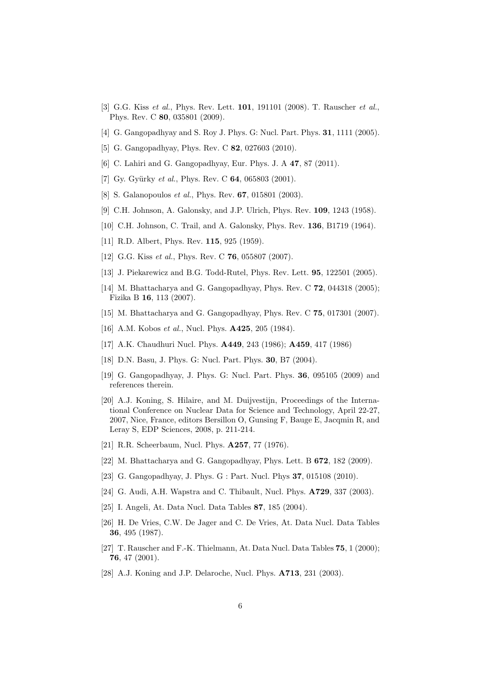- <span id="page-5-0"></span>[3] G.G. Kiss et al., Phys. Rev. Lett. **101**, 191101 (2008). T. Rauscher et al., Phys. Rev. C 80, 035801 (2009).
- <span id="page-5-2"></span><span id="page-5-1"></span>[4] G. Gangopadhyay and S. Roy J. Phys. G: Nucl. Part. Phys. **31**, 1111 (2005).
- <span id="page-5-3"></span>[5] G. Gangopadhyay, Phys. Rev. C **82**, 027603 (2010).
- <span id="page-5-4"></span>[6] C. Lahiri and G. Gangopadhyay, Eur. Phys. J. A 47, 87 (2011).
- <span id="page-5-5"></span>[7] Gy. Gyürky et al., Phys. Rev. C  $64$ , 065803 (2001).
- <span id="page-5-6"></span>[8] S. Galanopoulos *et al.*, Phys. Rev. **67**, 015801 (2003).
- <span id="page-5-7"></span>[9] C.H. Johnson, A. Galonsky, and J.P. Ulrich, Phys. Rev. 109, 1243 (1958).
- <span id="page-5-8"></span>[10] C.H. Johnson, C. Trail, and A. Galonsky, Phys. Rev. **136**, B1719 (1964).
- <span id="page-5-9"></span>[11] R.D. Albert, Phys. Rev. **115**, 925 (1959).
- <span id="page-5-10"></span>[12] G.G. Kiss *et al.*, Phys. Rev. C **76**, 055807 (2007).
- <span id="page-5-11"></span>[13] J. Piekarewicz and B.G. Todd-Rutel, Phys. Rev. Lett. 95, 122501 (2005).
- [14] M. Bhattacharya and G. Gangopadhyay, Phys. Rev. C **72**, 044318 (2005); Fizika B 16, 113 (2007).
- <span id="page-5-13"></span><span id="page-5-12"></span>[15] M. Bhattacharya and G. Gangopadhyay, Phys. Rev. C 75, 017301 (2007).
- <span id="page-5-14"></span>[16] A.M. Kobos *et al.*, Nucl. Phys. **A425**, 205 (1984).
- <span id="page-5-15"></span>[17] A.K. Chaudhuri Nucl. Phys. A449, 243 (1986); A459, 417 (1986)
- <span id="page-5-16"></span>[18] D.N. Basu, J. Phys. G: Nucl. Part. Phys. **30**, B7 (2004).
- <span id="page-5-17"></span>[19] G. Gangopadhyay, J. Phys. G: Nucl. Part. Phys. 36, 095105 (2009) and references therein.
- [20] A.J. Koning, S. Hilaire, and M. Duijvestijn, Proceedings of the International Conference on Nuclear Data for Science and Technology, April 22-27, 2007, Nice, France, editors Bersillon O, Gunsing F, Bauge E, Jacqmin R, and Leray S, EDP Sciences, 2008, p. 211-214.
- <span id="page-5-19"></span><span id="page-5-18"></span>[21] R.R. Scheerbaum, Nucl. Phys. **A257**, 77 (1976).
- <span id="page-5-20"></span>[22] M. Bhattacharya and G. Gangopadhyay, Phys. Lett. B **672**, 182 (2009).
- <span id="page-5-21"></span>[23] G. Gangopadhyay, J. Phys. G : Part. Nucl. Phys **37**, 015108 (2010).
- <span id="page-5-22"></span>[24] G. Audi, A.H. Wapstra and C. Thibault, Nucl. Phys. **A729**, 337 (2003).
- <span id="page-5-23"></span>[25] I. Angeli, At. Data Nucl. Data Tables 87, 185 (2004).
- [26] H. De Vries, C.W. De Jager and C. De Vries, At. Data Nucl. Data Tables 36, 495 (1987).
- <span id="page-5-24"></span>[27] T. Rauscher and F.-K. Thielmann, At. Data Nucl. Data Tables 75, 1 (2000); 76, 47 (2001).
- <span id="page-5-25"></span>[28] A.J. Koning and J.P. Delaroche, Nucl. Phys. **A713**, 231 (2003).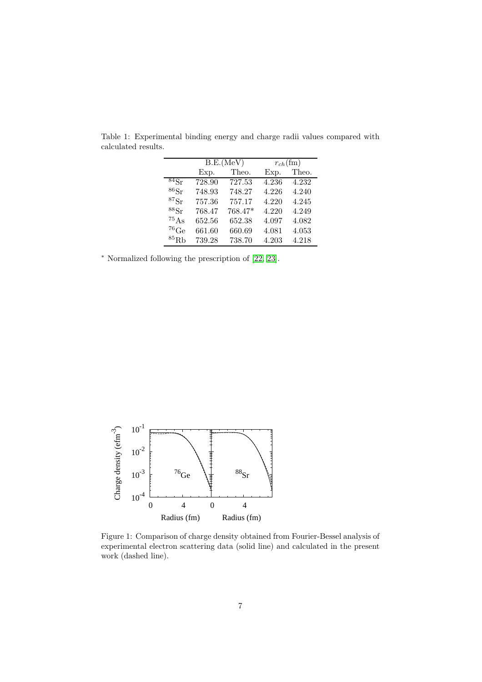|                          | B.E.(MeV)           |         | $r_{ch}$ (fm) |       |
|--------------------------|---------------------|---------|---------------|-------|
|                          | Exp.                | Theo.   | Exp.          | Theo. |
| $84S_r$                  | $\overline{728.90}$ | 727.53  | 4.236         | 4.232 |
| $86S_r$                  | 748.93              | 748.27  | 4.226         | 4.240 |
| ${}^{87}\mathrm{Sr}$     | 757.36              | 757.17  | 4.220         | 4.245 |
| 88Sr                     | 768.47              | 768.47* | 4.220         | 4.249 |
| ${}^{75}$ As             | 652.56              | 652.38  | 4.097         | 4.082 |
| $^{76}$ Ge               | 661.60              | 660.69  | 4.081         | 4.053 |
| ${}^{85}$ R <sub>b</sub> | 739.28              | 738.70  | 4.203         | 4.218 |

Table 1: Experimental binding energy and charge radii values compared with calculated results.

<sup>∗</sup> Normalized following the prescription of [\[22,](#page-5-19) [23\]](#page-5-20).



<span id="page-6-0"></span>Figure 1: Comparison of charge density obtained from Fourier-Bessel analysis of experimental electron scattering data (solid line) and calculated in the present work (dashed line).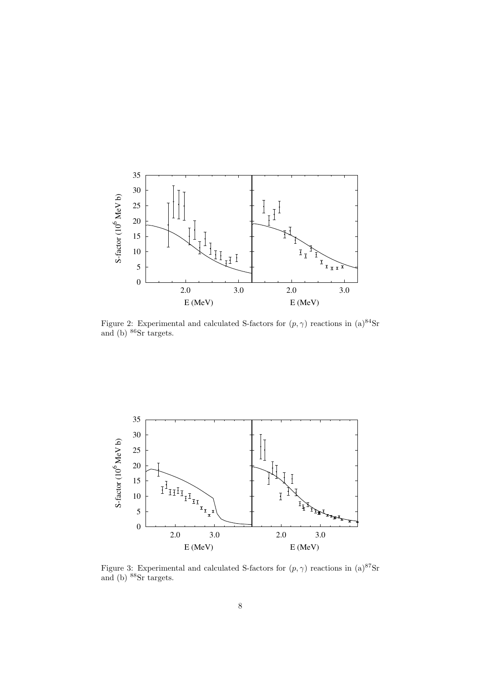

Figure 2: Experimental and calculated S-factors for  $(p, \gamma)$  reactions in  $(a)^{84}$ Sr and (b) <sup>86</sup>Sr targets.



Figure 3: Experimental and calculated S-factors for  $(p, \gamma)$  reactions in  $(a)^{87}$ Sr and (b) <sup>88</sup>Sr targets.